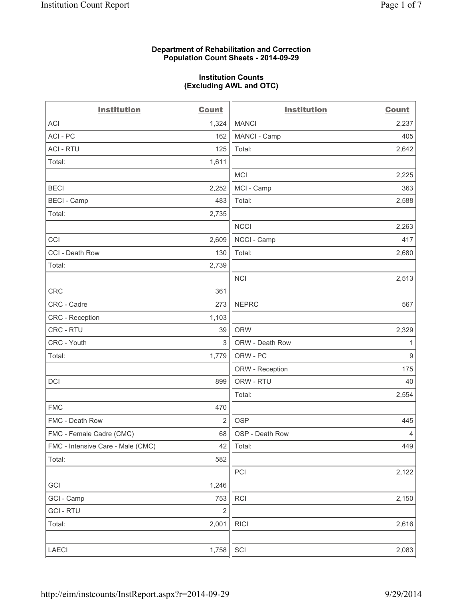#### **Department of Rehabilitation and Correction Population Count Sheets - 2014-09-29**

#### **Institution Counts (Excluding AWL and OTC)**

| <b>Institution</b>                | <b>Count</b>   | <b>Institution</b> | <b>Count</b>     |
|-----------------------------------|----------------|--------------------|------------------|
| <b>ACI</b>                        | 1,324          | <b>MANCI</b>       | 2,237            |
| ACI - PC                          | 162            | MANCI - Camp       | 405              |
| <b>ACI - RTU</b>                  | 125            | Total:             | 2,642            |
| Total:                            | 1,611          |                    |                  |
|                                   |                | <b>MCI</b>         | 2,225            |
| <b>BECI</b>                       | 2,252          | MCI - Camp         | 363              |
| <b>BECI - Camp</b>                | 483            | Total:             | 2,588            |
| Total:                            | 2,735          |                    |                  |
|                                   |                | <b>NCCI</b>        | 2,263            |
| CCI                               | 2,609          | NCCI - Camp        | 417              |
| CCI - Death Row                   | 130            | Total:             | 2,680            |
| Total:                            | 2,739          |                    |                  |
|                                   |                | <b>NCI</b>         | 2,513            |
| CRC                               | 361            |                    |                  |
| CRC - Cadre                       | 273            | <b>NEPRC</b>       | 567              |
| <b>CRC</b> - Reception            | 1,103          |                    |                  |
| CRC - RTU                         | 39             | <b>ORW</b>         | 2,329            |
| CRC - Youth                       | 3              | ORW - Death Row    | 1                |
| Total:                            | 1,779          | ORW - PC           | $\boldsymbol{9}$ |
|                                   |                | ORW - Reception    | 175              |
| DCI                               | 899            | ORW - RTU          | 40               |
|                                   |                | Total:             | 2,554            |
| <b>FMC</b>                        | 470            |                    |                  |
| FMC - Death Row                   | $\overline{2}$ | <b>OSP</b>         | 445              |
| FMC - Female Cadre (CMC)          | 68             | OSP - Death Row    | $\overline{4}$   |
| FMC - Intensive Care - Male (CMC) | 42             | Total:             | 449              |
| Total:                            | 582            |                    |                  |
|                                   |                | PCI                | 2,122            |
| GCI                               | 1,246          |                    |                  |
| GCI - Camp                        | 753            | <b>RCI</b>         | 2,150            |
| <b>GCI - RTU</b>                  | $\overline{2}$ |                    |                  |
| Total:                            | 2,001          | <b>RICI</b>        | 2,616            |
| LAECI                             | 1,758          | SCI                | 2,083            |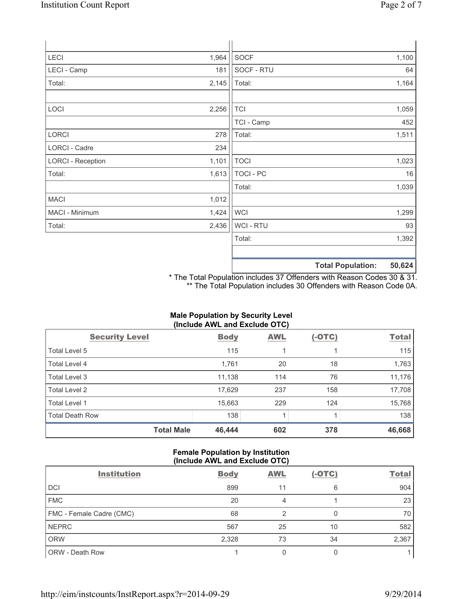| LECI                     | 1,964 | <b>SOCF</b>      |                          | 1,100  |
|--------------------------|-------|------------------|--------------------------|--------|
| LECI - Camp              | 181   | SOCF - RTU       |                          | 64     |
| Total:                   | 2,145 | Total:           |                          | 1,164  |
| LOCI                     | 2,256 | <b>TCI</b>       |                          | 1,059  |
|                          |       | TCI - Camp       |                          | 452    |
| LORCI                    | 278   | Total:           |                          | 1,511  |
| LORCI - Cadre            | 234   |                  |                          |        |
| <b>LORCI - Reception</b> | 1,101 | <b>TOCI</b>      |                          | 1,023  |
| Total:                   | 1,613 | <b>TOCI - PC</b> |                          | 16     |
|                          |       | Total:           |                          | 1,039  |
| <b>MACI</b>              | 1,012 |                  |                          |        |
| MACI - Minimum           | 1,424 | <b>WCI</b>       |                          | 1,299  |
| Total:                   | 2,436 | WCI - RTU        |                          | 93     |
|                          |       | Total:           |                          | 1,392  |
|                          |       |                  |                          |        |
|                          |       |                  | <b>Total Population:</b> | 50,624 |

\* The Total Population includes 37 Offenders with Reason Codes 30 & 31. \*\* The Total Population includes 30 Offenders with Reason Code 0A.

## **Male Population by Security Level (Include AWL and Exclude OTC)**

| <b>Security Level</b>  | <b>Body</b> | <b>AWL</b> | $(-OTC)$ | <b>Total</b> |
|------------------------|-------------|------------|----------|--------------|
| Total Level 5          | 115         |            |          | 115          |
| Total Level 4          | 1,761       | 20         | 18       | 1,763        |
| Total Level 3          | 11,138      | 114        | 76       | 11,176       |
| Total Level 2          | 17,629      | 237        | 158      | 17,708       |
| Total Level 1          | 15,663      | 229        | 124      | 15,768       |
| <b>Total Death Row</b> | 138         |            |          | 138          |
| <b>Total Male</b>      | 46,444      | 602        | 378      | 46,668       |

## **Female Population by Institution (Include AWL and Exclude OTC)**

| <b>Institution</b>       | <b>Body</b> | <b>AWL</b> | $(-OTC)$ | <b>Total</b> |
|--------------------------|-------------|------------|----------|--------------|
| <b>DCI</b>               | 899         | 11         | 6        | 904          |
| <b>FMC</b>               | 20          | 4          |          | 23           |
| FMC - Female Cadre (CMC) | 68          | 2          |          | 70           |
| <b>NEPRC</b>             | 567         | 25         | 10       | 582          |
| <b>ORW</b>               | 2,328       | 73         | 34       | 2,367        |
| <b>ORW - Death Row</b>   |             |            |          |              |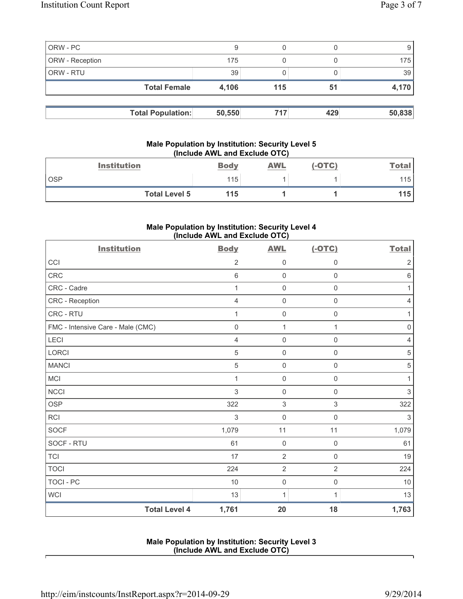|                 | <b>Total Population:</b> | 50,550 | 717 | 429 | 50,838 |
|-----------------|--------------------------|--------|-----|-----|--------|
|                 | <b>Total Female</b>      | 4,106  | 115 | 51  | 4,170  |
| ORW - RTU       |                          | 39     |     |     | 39     |
| ORW - Reception |                          | 175    |     |     | 175 I  |
| ORW - PC        |                          |        |     |     |        |

## **Male Population by Institution: Security Level 5 (Include AWL and Exclude OTC)**

| <b>Institution</b>   | <b>Body</b> | <b>AWL</b> | (-OTC) | <u>Total</u> |
|----------------------|-------------|------------|--------|--------------|
| <b>OSP</b>           | 115         |            |        | 115          |
| <b>Total Level 5</b> | 115         |            |        | 115'         |

# **Male Population by Institution: Security Level 4 (Include AWL and Exclude OTC)**

| <b>Institution</b>                | <b>Body</b>    | <b>AWL</b>          | $(-OTC)$            | <b>Total</b>              |
|-----------------------------------|----------------|---------------------|---------------------|---------------------------|
| CCI                               | $\overline{2}$ | $\mathbf 0$         | $\mathbf 0$         | $\sqrt{2}$                |
| CRC                               | 6              | $\mathbf 0$         | $\mathsf 0$         | $\,6$                     |
| CRC - Cadre                       | 1              | $\mathsf{O}\xspace$ | $\mathsf{O}\xspace$ | 1                         |
| CRC - Reception                   | $\overline{4}$ | $\mathsf 0$         | $\mathsf{O}\xspace$ | 4                         |
| CRC - RTU                         | 1              | $\mathsf{O}\xspace$ | 0                   | $\mathbf{1}$              |
| FMC - Intensive Care - Male (CMC) | $\mathbf 0$    | $\mathbf{1}$        | 1                   | $\mathsf 0$               |
| <b>LECI</b>                       | $\overline{4}$ | $\mathsf{O}\xspace$ | $\mathsf{O}\xspace$ | $\overline{4}$            |
| <b>LORCI</b>                      | 5              | $\mathbf 0$         | $\mathsf{O}\xspace$ | $\sqrt{5}$                |
| <b>MANCI</b>                      | 5              | $\mathsf 0$         | $\mathsf{O}\xspace$ | $\,$ 5 $\,$               |
| MCI                               | 1              | $\mathbf 0$         | 0                   | 1                         |
| <b>NCCI</b>                       | 3              | $\mathbf 0$         | $\mathbf 0$         | $\sqrt{3}$                |
| <b>OSP</b>                        | 322            | $\,$ 3 $\,$         | 3                   | 322                       |
| <b>RCI</b>                        | $\mathsf 3$    | $\mathbf 0$         | $\mathsf{O}\xspace$ | $\ensuremath{\mathsf{3}}$ |
| <b>SOCF</b>                       | 1,079          | 11                  | 11                  | 1,079                     |
| SOCF - RTU                        | 61             | $\mathbf 0$         | $\mathsf{O}\xspace$ | 61                        |
| <b>TCI</b>                        | 17             | $\overline{2}$      | $\mathbf 0$         | 19                        |
| <b>TOCI</b>                       | 224            | $\overline{2}$      | $\overline{2}$      | 224                       |
| <b>TOCI - PC</b>                  | 10             | $\mathsf 0$         | $\mathsf{O}\xspace$ | 10                        |
| <b>WCI</b>                        | 13             | 1                   | 1                   | 13                        |
| <b>Total Level 4</b>              | 1,761          | 20                  | 18                  | 1,763                     |

## **Male Population by Institution: Security Level 3 (Include AWL and Exclude OTC)**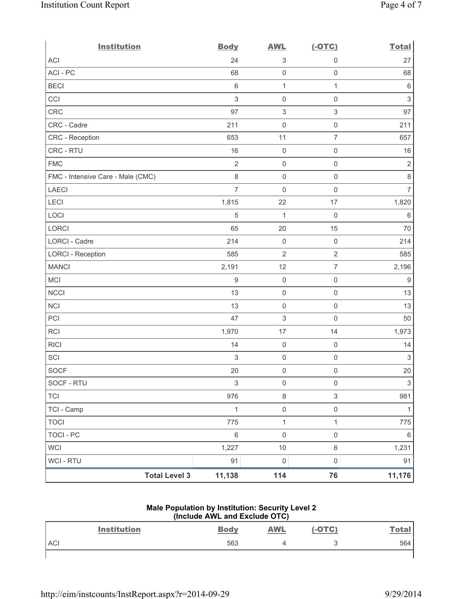| <b>Institution</b>                | <b>Body</b>               | <b>AWL</b>                | $(-OTC)$            | <b>Total</b>              |
|-----------------------------------|---------------------------|---------------------------|---------------------|---------------------------|
| <b>ACI</b>                        | 24                        | $\ensuremath{\mathsf{3}}$ | $\mathsf{O}\xspace$ | 27                        |
| ACI-PC                            | 68                        | $\mathsf{O}\xspace$       | 0                   | 68                        |
| <b>BECI</b>                       | $\,6\,$                   | $\mathbf{1}$              | $\mathbf{1}$        | $\,6\,$                   |
| CCI                               | $\sqrt{3}$                | $\mathsf{O}\xspace$       | $\mathsf 0$         | $\ensuremath{\mathsf{3}}$ |
| CRC                               | 97                        | $\ensuremath{\mathsf{3}}$ | $\,$ 3 $\,$         | 97                        |
| CRC - Cadre                       | 211                       | $\mathsf{O}\xspace$       | $\mathsf 0$         | 211                       |
| CRC - Reception                   | 653                       | 11                        | $\overline{7}$      | 657                       |
| CRC - RTU                         | 16                        | $\mathsf{O}\xspace$       | $\mathsf 0$         | 16                        |
| <b>FMC</b>                        | $\overline{2}$            | $\mathsf{O}\xspace$       | $\mathsf{O}\xspace$ | $\sqrt{2}$                |
| FMC - Intensive Care - Male (CMC) | $\,8\,$                   | $\mathbf 0$               | $\mathsf{O}\xspace$ | $\,8\,$                   |
| <b>LAECI</b>                      | $\overline{7}$            | $\mathsf{O}\xspace$       | $\mathsf 0$         | 7                         |
| LECI                              | 1,815                     | 22                        | 17                  | 1,820                     |
| LOCI                              | 5                         | $\mathbf{1}$              | $\mathsf{O}\xspace$ | $6\,$                     |
| LORCI                             | 65                        | 20                        | 15                  | 70                        |
| <b>LORCI - Cadre</b>              | 214                       | $\mathsf{O}\xspace$       | $\mathsf 0$         | 214                       |
| <b>LORCI - Reception</b>          | 585                       | $\overline{2}$            | $\overline{2}$      | 585                       |
| <b>MANCI</b>                      | 2,191                     | 12                        | $\overline{7}$      | 2,196                     |
| MCI                               | $\hbox{9}$                | $\mathsf{O}\xspace$       | $\mathsf 0$         | $9\,$                     |
| <b>NCCI</b>                       | 13                        | $\mathsf{O}\xspace$       | $\mathsf 0$         | 13                        |
| <b>NCI</b>                        | 13                        | $\mathsf{O}\xspace$       | $\mathsf{O}\xspace$ | 13                        |
| PCI                               | 47                        | $\ensuremath{\mathsf{3}}$ | $\mathsf{O}\xspace$ | 50                        |
| RCI                               | 1,970                     | 17                        | 14                  | 1,973                     |
| <b>RICI</b>                       | 14                        | $\mathsf{O}\xspace$       | $\mathsf{O}\xspace$ | 14                        |
| SCI                               | $\sqrt{3}$                | $\mathsf 0$               | $\mathsf 0$         | $\sqrt{3}$                |
| <b>SOCF</b>                       | 20                        | $\mathsf{O}\xspace$       | $\mathsf 0$         | 20                        |
| SOCF - RTU                        | $\ensuremath{\mathsf{3}}$ | $\mathsf 0$               | $\mathsf 0$         | $\sqrt{3}$                |
| <b>TCI</b>                        | 976                       | $\,8\,$                   | 3                   | 981                       |
| TCI - Camp                        | 1                         | $\mathsf 0$               | $\mathsf{O}\xspace$ | 1                         |
| <b>TOCI</b>                       | 775                       | $\mathbf 1$               | 1                   | 775                       |
| <b>TOCI - PC</b>                  | $\,6\,$                   | $\mathsf{O}\xspace$       | $\mathsf{O}\xspace$ | $\,6\,$                   |
| <b>WCI</b>                        | 1,227                     | 10                        | $\,6\,$             | 1,231                     |
| <b>WCI - RTU</b>                  | 91                        | $\mathsf{O}\xspace$       | $\mathsf 0$         | 91                        |
| <b>Total Level 3</b>              | 11,138                    | 114                       | 76                  | 11,176                    |

## **Male Population by Institution: Security Level 2 (Include AWL and Exclude OTC)**

|            | <b>Institution</b> | <b>Body</b> | <b>AWL</b> | $(-OTC)$ | <u>Total</u> |
|------------|--------------------|-------------|------------|----------|--------------|
| <b>ACI</b> |                    | 563         |            | Ċ.       | 564          |
|            |                    |             |            |          |              |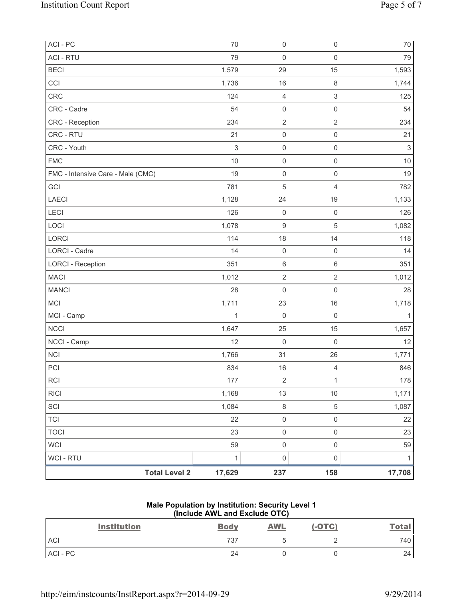| ACI-PC                            | 70           | $\mathsf{O}\xspace$ | $\mathsf 0$         | $70\,$     |
|-----------------------------------|--------------|---------------------|---------------------|------------|
| <b>ACI - RTU</b>                  | 79           | $\mathsf{O}\xspace$ | $\mathbf 0$         | 79         |
| <b>BECI</b>                       | 1,579        | 29                  | 15                  | 1,593      |
| CCI                               | 1,736        | 16                  | $\,8\,$             | 1,744      |
| CRC                               | 124          | 4                   | $\mathsf 3$         | 125        |
| CRC - Cadre                       | 54           | $\mathsf{O}\xspace$ | $\mathsf 0$         | 54         |
| CRC - Reception                   | 234          | $\overline{2}$      | $\overline{2}$      | 234        |
| CRC - RTU                         | 21           | $\mathsf{O}\xspace$ | $\mathsf 0$         | 21         |
| CRC - Youth                       | $\sqrt{3}$   | $\mathbf 0$         | $\mathsf 0$         | $\sqrt{3}$ |
| <b>FMC</b>                        | 10           | $\mathsf{O}\xspace$ | $\mathsf 0$         | 10         |
| FMC - Intensive Care - Male (CMC) | 19           | $\mathsf{O}\xspace$ | $\mathsf 0$         | 19         |
| GCI                               | 781          | 5                   | $\overline{4}$      | 782        |
| <b>LAECI</b>                      | 1,128        | 24                  | 19                  | 1,133      |
| LECI                              | 126          | $\mathsf 0$         | $\mathsf 0$         | 126        |
| LOCI                              | 1,078        | $\boldsymbol{9}$    | $\sqrt{5}$          | 1,082      |
| LORCI                             | 114          | 18                  | 14                  | 118        |
| LORCI - Cadre                     | 14           | $\mathsf{O}\xspace$ | $\mathsf 0$         | 14         |
| <b>LORCI - Reception</b>          | 351          | $\,6\,$             | $\,6\,$             | 351        |
| <b>MACI</b>                       | 1,012        | $\sqrt{2}$          | $\sqrt{2}$          | 1,012      |
| <b>MANCI</b>                      | 28           | $\mathbf 0$         | $\mathsf 0$         | 28         |
| MCI                               | 1,711        | 23                  | 16                  | 1,718      |
| MCI - Camp                        | $\mathbf{1}$ | $\mathsf{O}\xspace$ | $\mathsf{O}\xspace$ | 1          |
| <b>NCCI</b>                       | 1,647        | 25                  | 15                  | 1,657      |
| NCCI - Camp                       | 12           | $\mathsf{O}\xspace$ | $\mathsf 0$         | 12         |
| <b>NCI</b>                        | 1,766        | 31                  | 26                  | 1,771      |
| PCI                               | 834          | 16                  | $\overline{4}$      | 846        |
| <b>RCI</b>                        | 177          | $\sqrt{2}$          | 1                   | 178        |
| <b>RICI</b>                       | 1,168        | 13                  | 10                  | 1,171      |
| SCI                               | 1,084        | $\,8\,$             | $\sqrt{5}$          | 1,087      |
| <b>TCI</b>                        | 22           | $\mathsf{O}\xspace$ | $\mathsf 0$         | 22         |
| <b>TOCI</b>                       | 23           | $\mathsf 0$         | $\mathsf{O}\xspace$ | 23         |
| <b>WCI</b>                        | 59           | $\mathsf{O}\xspace$ | $\mathsf 0$         | 59         |
| <b>WCI - RTU</b>                  | 1            | $\mathsf{O}\xspace$ | $\mathsf{O}\xspace$ | 1          |
| <b>Total Level 2</b>              | 17,629       | 237                 | 158                 | 17,708     |

## **Male Population by Institution: Security Level 1 (Include AWL and Exclude OTC)**

| <b>Institution</b> | <b>Body</b> | <b>AWL</b> | $(-OTC)$ | <b>Total</b> |
|--------------------|-------------|------------|----------|--------------|
| <b>ACI</b>         | 737         |            |          | 740          |
| ACI-PC             | 24          |            |          | 24           |